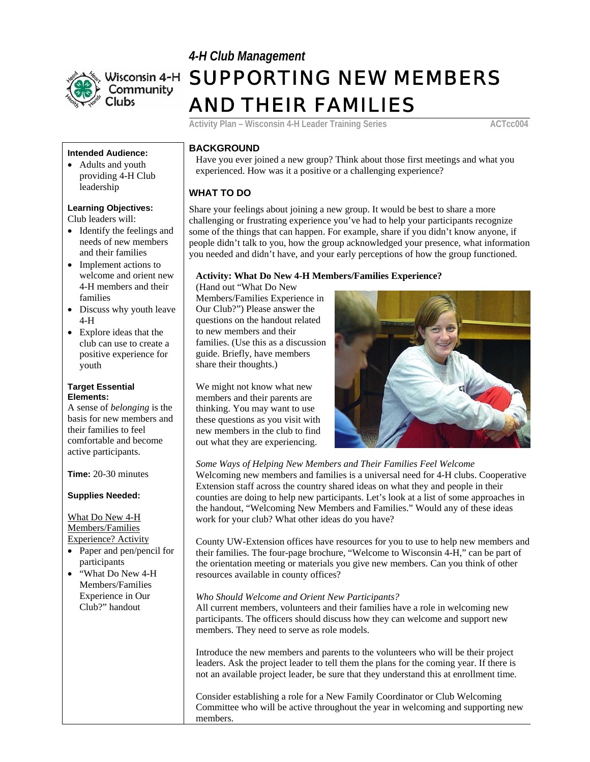



# Wisconsin 4-H SUPPORTING NEW MEMBERS AND THEIR FAMILIES

Activity Plan – Wisconsin 4-H Leader Training Series **ACTCC004** 

## **Intended Audience:**

• Adults and youth providing 4-H Club leadership

## **Learning Objectives:**

Club leaders will:

- Identify the feelings and needs of new members and their families
- Implement actions to welcome and orient new 4-H members and their families
- Discuss why youth leave 4-H
- Explore ideas that the club can use to create a positive experience for youth

#### **Target Essential Elements:**

A sense of *belonging* is the basis for new members and their families to feel comfortable and become active participants.

**Time:** 20-30 minutes

**Supplies Needed:**

What Do New 4-H Members/Families Experience? Activity

- Paper and pen/pencil for participants
- "What Do New 4-H Members/Families Experience in Our Club?" handout

# **BACKGROUND**

Have you ever joined a new group? Think about those first meetings and what you experienced. How was it a positive or a challenging experience?

# **WHAT TO DO**

Share your feelings about joining a new group. It would be best to share a more challenging or frustrating experience you've had to help your participants recognize some of the things that can happen. For example, share if you didn't know anyone, if people didn't talk to you, how the group acknowledged your presence, what information you needed and didn't have, and your early perceptions of how the group functioned.

#### **Activity: What Do New 4-H Members/Families Experience?**

(Hand out "What Do New Members/Families Experience in Our Club?") Please answer the questions on the handout related to new members and their families. (Use this as a d iscussion guide. Briefly, have members share their thoughts.)

We might not know what new members and their parents are thinking. You may want to use these questions as you visit with new members in the club to find out what they are experiencing.



*Some Ways of Helping New Members and Their Families Feel Welcome*  Welcoming new members and families is a universal need for 4-H clubs. Cooperative Extension staff across the country shared ideas on what they and people in their counties are doing to help new participants. Let's look at a list of some approaches in the handout, "Welcoming New Members and Families." Would any of these ideas work for your club? What other ideas do you have?

County UW-Extension offices have resources for you to use to help new members and their families. The four-page brochure, "Welcome to Wisconsin 4-H," can be part of the orientation meeting or materials you give new members. Can you think of other resources available in county offices?

#### *Who Should Welcome and Orient New Participants?*

All current members, volunteers and their families have a role in welcoming new participants. The officers should discuss how they can welcome and support new members. They need to serve as role models.

Introduce the new members and parents to the volunteers who will be their project leaders. Ask the project leader to tell them the plans for the coming year. If there is not an available project leader, be sure that they understand this at enrollment time.

Consider establishing a role for a New Family Coordinator or Club Welcoming Committee who will be active throughout the year in welcoming and supporting new members.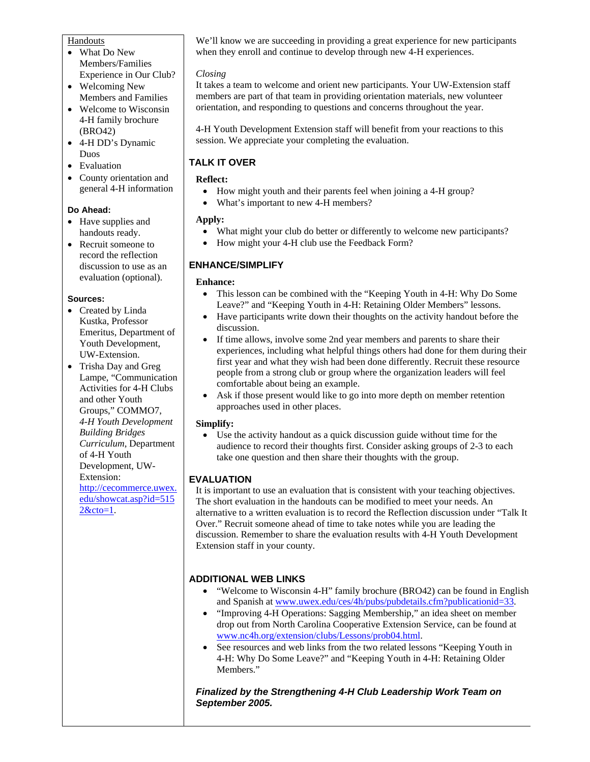#### Handouts

- What Do New Members/Families Experience in Our Club?
- Welcoming New Members and Families
- Welcome to Wisconsin 4-H family brochure (BRO42)
- 4-H DD's Dynamic Duos
- Evaluation
- County orientation and general 4-H information

#### **Do Ahead:**

- Have supplies and handouts ready.
- Recruit someone to record the reflection discussion to use as an evaluation (optional).

#### **Sources:**

- Created by Linda Kustka, Professor Emeritus, Department of Youth Development, UW-Extension.
- Trisha Day and Greg Lampe, "Communication Activities for 4-H Clubs and other Youth Groups," COMMO7, *4-H Youth Development Building Bridges Curriculum*, Department of 4-H Youth Development, UW-Extension: http://cecommerce.uwex. edu/showcat.asp?id=515 2&cto=1.

We'll know we are succeeding in providing a great experience for new participants when they enroll and continue to develop through new 4-H experiences.

#### *Closing*

It takes a team to welcome and orient new participants. Your UW-Extension staff members are part of that team in providing orientation materials, new volunteer orientation, and responding to questions and concerns throughout the year.

4-H Youth Development Extension staff will benefit from your reactions to this session. We appreciate your completing the evaluation.

## **TALK IT OVER**

#### **Reflect:**

- How might youth and their parents feel when joining a 4-H group?
- What's important to new 4-H members?

#### **Apply:**

- What might your club do better or differently to welcome new participants?
- How might your 4-H club use the Feedback Form?

# **ENHANCE/SIMPLIFY**

#### **Enhance:**

- This lesson can be combined with the "Keeping Youth in 4-H: Why Do Some Leave?" and "Keeping Youth in 4-H: Retaining Older Members" lessons.
- Have participants write down their thoughts on the activity handout before the discussion.
- If time allows, involve some 2nd year members and parents to share their experiences, including what helpful things others had done for them during their first year and what they wish had been done differently. Recruit these resource people from a strong club or group where the organization leaders will feel comfortable about being an example.
- Ask if those present would like to go into more depth on member retention approaches used in other places.

#### **Simplify:**

• Use the activity handout as a quick discussion guide without time for the audience to record their thoughts first. Consider asking groups of 2-3 to each take one question and then share their thoughts with the group.

## **EVALUATION**

It is important to use an evaluation that is consistent with your teaching objectives. The short evaluation in the handouts can be modified to meet your needs. An alternative to a written evaluation is to record the Reflection discussion under "Talk It Over." Recruit someone ahead of time to take notes while you are leading the discussion. Remember to share the evaluation results with 4-H Youth Development Extension staff in your county.

## **ADDITIONAL WEB LINKS**

- "Welcome to Wisconsin 4-H" family brochure (BRO42) can be found in English and Spanish at www.uwex.edu/ces/4h/pubs/pubdetails.cfm?publicationid=33.
- "Improving 4-H Operations: Sagging Membership," an idea sheet on member drop out from North Carolina Cooperative Extension Service, can be found at www.nc4h.org/extension/clubs/Lessons/prob04.html.
- See resources and web links from the two related lessons "Keeping Youth in 4-H: Why Do Some Leave?" and "Keeping Youth in 4-H: Retaining Older Members."

*Finalized by the Strengthening 4-H Club Leadership Work Team on September 2005.*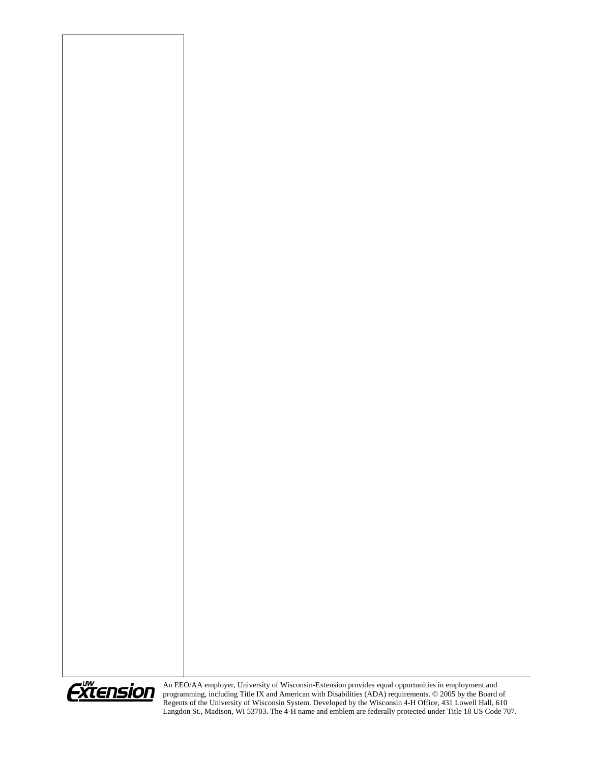

An EEO/AA employer, University of Wisconsin-Extension provides equal opportunities in employment and programming, including Title IX and American with Disabilities (ADA) requirements. © 2005 by the Board of Regents of the University of Wisconsin System. Developed by the Wisconsin 4-H Office, 431 Lowell Hall, 610 Langdon St., Madison, WI 53703. The 4-H name and emblem are federally protected under Title 18 US Code 707.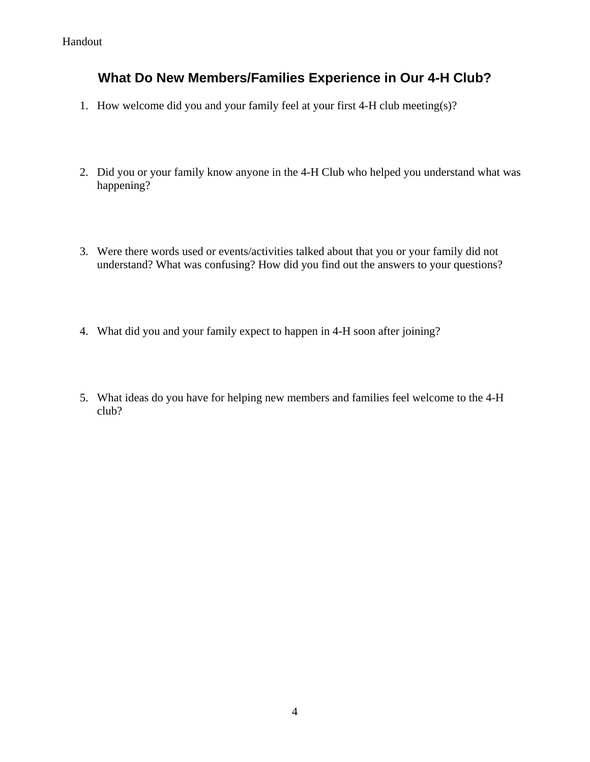# **What Do New Members/Families Experience in Our 4-H Club?**

- 1. How welcome did you and your family feel at your first 4-H club meeting(s)?
- 2. Did you or your family know anyone in the 4-H Club who helped you understand what was happening?
- 3. Were there words used or events/activities talked about that you or your family did not understand? What was confusing? How did you find out the answers to your questions?
- 4. What did you and your family expect to happen in 4-H soon after joining?
- 5. What ideas do you have for helping new members and families feel welcome to the 4-H club?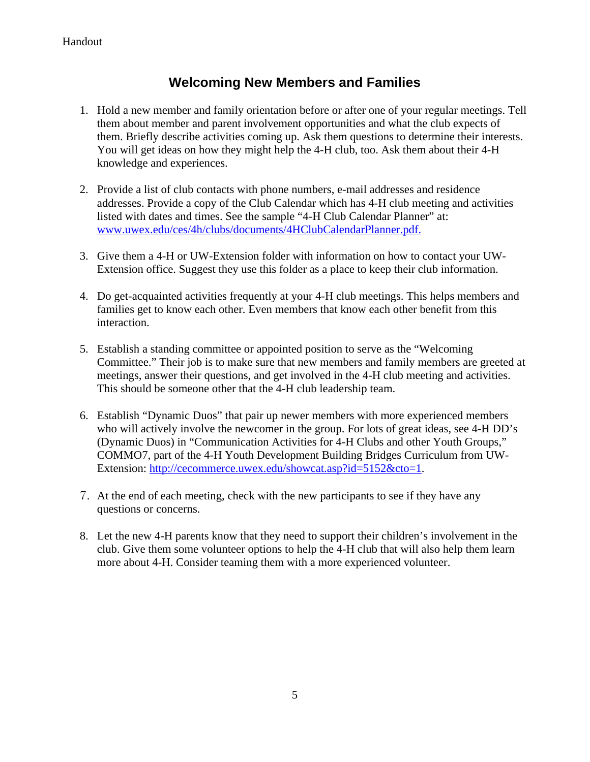# **Welcoming New Members and Families**

- 1. Hold a new member and family orientation before or after one of your regular meetings. Tell them about member and parent involvement opportunities and what the club expects of them. Briefly describe activities coming up. Ask them questions to determine their interests. You will get ideas on how they might help the 4-H club, too. Ask them about their 4-H knowledge and experiences.
- 2. Provide a list of club contacts with phone numbers, e-mail addresses and residence addresses. Provide a copy of the Club Calendar which has 4-H club meeting and activities listed with dates and times. See the sample "4-H Club Calendar Planner" at: www.uwex.edu/ces/4h/clubs/documents/4HClubCalendarPlanner.pdf.
- 3. Give them a 4-H or UW-Extension folder with information on how to contact your UW-Extension office. Suggest they use this folder as a place to keep their club information.
- 4. Do get-acquainted activities frequently at your 4-H club meetings. This helps members and families get to know each other. Even members that know each other benefit from this interaction.
- 5. Establish a standing committee or appointed position to serve as the "Welcoming Committee." Their job is to make sure that new members and family members are greeted at meetings, answer their questions, and get involved in the 4-H club meeting and activities. This should be someone other that the 4-H club leadership team.
- 6. Establish "Dynamic Duos" that pair up newer members with more experienced members who will actively involve the newcomer in the group. For lots of great ideas, see 4-H DD's (Dynamic Duos) in "Communication Activities for 4-H Clubs and other Youth Groups," COMMO7, part of the 4-H Youth Development Building Bridges Curriculum from UW-Extension: http://cecommerce.uwex.edu/showcat.asp?id=5152&cto=1.
- 7. At the end of each meeting, check with the new participants to see if they have any questions or concerns.
- 8. Let the new 4-H parents know that they need to support their children's involvement in the club. Give them some volunteer options to help the 4-H club that will also help them learn more about 4-H. Consider teaming them with a more experienced volunteer.